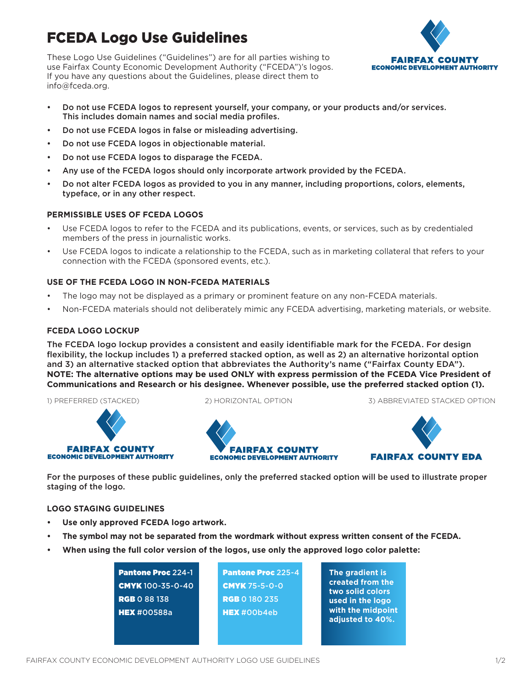# FCEDA Logo Use Guidelines

These Logo Use Guidelines ("Guidelines") are for all parties wishing to use Fairfax County Economic Development Authority ("FCEDA")'s logos. If you have any questions about the Guidelines, please direct them to info@fceda.org.



- Do not use FCEDA logos to represent yourself, your company, or your products and/or services. This includes domain names and social media profiles.
- Do not use FCEDA logos in false or misleading advertising.
- Do not use FCEDA logos in objectionable material.
- Do not use FCEDA logos to disparage the FCEDA.
- Any use of the FCEDA logos should only incorporate artwork provided by the FCEDA.
- Do not alter FCEDA logos as provided to you in any manner, including proportions, colors, elements, typeface, or in any other respect.

## **PERMISSIBLE USES OF FCEDA LOGOS**

- Use FCEDA logos to refer to the FCEDA and its publications, events, or services, such as by credentialed members of the press in journalistic works.
- Use FCEDA logos to indicate a relationship to the FCEDA, such as in marketing collateral that refers to your connection with the FCEDA (sponsored events, etc.).

## **USE OF THE FCEDA LOGO IN NON-FCEDA MATERIALS**

- The logo may not be displayed as a primary or prominent feature on any non-FCEDA materials.
- Non-FCEDA materials should not deliberately mimic any FCEDA advertising, marketing materials, or website.

## **FCEDA LOGO LOCKUP**

The FCEDA logo lockup provides a consistent and easily identifiable mark for the FCEDA. For design flexibility, the lockup includes 1) a preferred stacked option, as well as 2) an alternative horizontal option and 3) an alternative stacked option that abbreviates the Authority's name ("Fairfax County EDA"). **NOTE: The alternative options may be used ONLY with express permission of the FCEDA Vice President of Communications and Research or his designee. Whenever possible, use the preferred stacked option (1).**

#### 1) PREFERRED (STACKED) 2) HORIZONTAL OPTION 3) ABBREVIATED STACKED OPTION





For the purposes of these public guidelines, only the preferred stacked option will be used to illustrate proper staging of the logo.

## **LOGO STAGING GUIDELINES**

**FAIRFAX COUNTY** 

**ECONOMIC DEVELOPMENT AUTHORITY** 

- **• Use only approved FCEDA logo artwork.**
- **• The symbol may not be separated from the wordmark without express written consent of the FCEDA.**
- **• When using the full color version of the logos, use only the approved logo color palette:**

| <b>Pantone Proc 224-1</b> |
|---------------------------|
| <b>CMYK</b> 100-35-0-40   |
| <b>RGB 0 88 138</b>       |
| <b>HEX #00588a</b>        |
|                           |

Pantone Proc 225-4 CMYK 75-5-0-0 **RGB 0 180 235** HEX #00b4eb

**The gradient is created from the two solid colors used in the logo with the midpoint adjusted to 40%.**